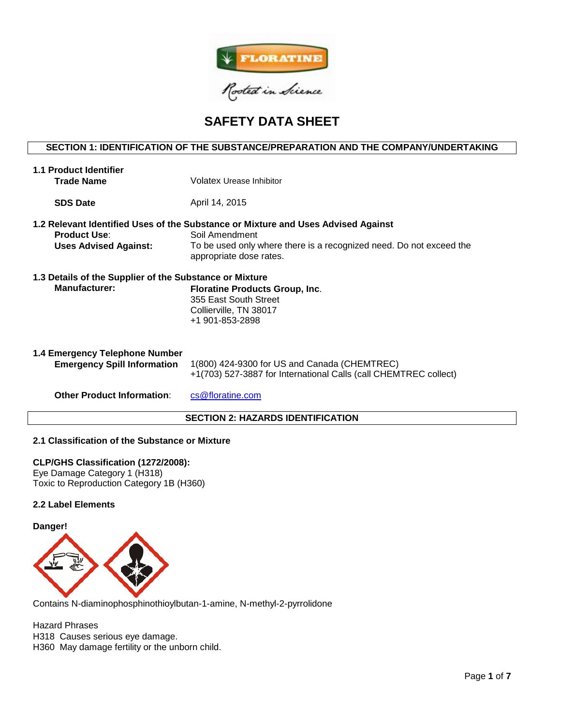

# **SAFETY DATA SHEET**

## **SECTION 1: IDENTIFICATION OF THE SUBSTANCE/PREPARATION AND THE COMPANY/UNDERTAKING**

| <b>1.1 Product Identifier</b><br><b>Trade Name</b>                   | Volatex Urease Inhibitor                                                                                                                                                                              |  |  |  |  |  |
|----------------------------------------------------------------------|-------------------------------------------------------------------------------------------------------------------------------------------------------------------------------------------------------|--|--|--|--|--|
| <b>SDS Date</b>                                                      | April 14, 2015                                                                                                                                                                                        |  |  |  |  |  |
| <b>Product Use:</b><br><b>Uses Advised Against:</b>                  | 1.2 Relevant Identified Uses of the Substance or Mixture and Uses Advised Against<br>Soil Amendment<br>To be used only where there is a recognized need. Do not exceed the<br>appropriate dose rates. |  |  |  |  |  |
| 1.3 Details of the Supplier of the Substance or Mixture              |                                                                                                                                                                                                       |  |  |  |  |  |
| <b>Manufacturer:</b>                                                 | Floratine Products Group, Inc.<br>355 East South Street<br>Collierville, TN 38017<br>+1 901-853-2898                                                                                                  |  |  |  |  |  |
| 1.4 Emergency Telephone Number<br><b>Emergency Spill Information</b> | 1(800) 424-9300 for US and Canada (CHEMTREC)<br>+1(703) 527-3887 for International Calls (call CHEMTREC collect)                                                                                      |  |  |  |  |  |
| <b>Other Product Information:</b>                                    | cs@floratine.com                                                                                                                                                                                      |  |  |  |  |  |

## **SECTION 2: HAZARDS IDENTIFICATION**

## **2.1 Classification of the Substance or Mixture**

**CLP/GHS Classification (1272/2008):**  Eye Damage Category 1 (H318) Toxic to Reproduction Category 1B (H360)

#### **2.2 Label Elements**

#### **Danger!**



Contains N-diaminophosphinothioylbutan-1-amine, N-methyl-2-pyrrolidone

Hazard Phrases H318 Causes serious eye damage. H360 May damage fertility or the unborn child.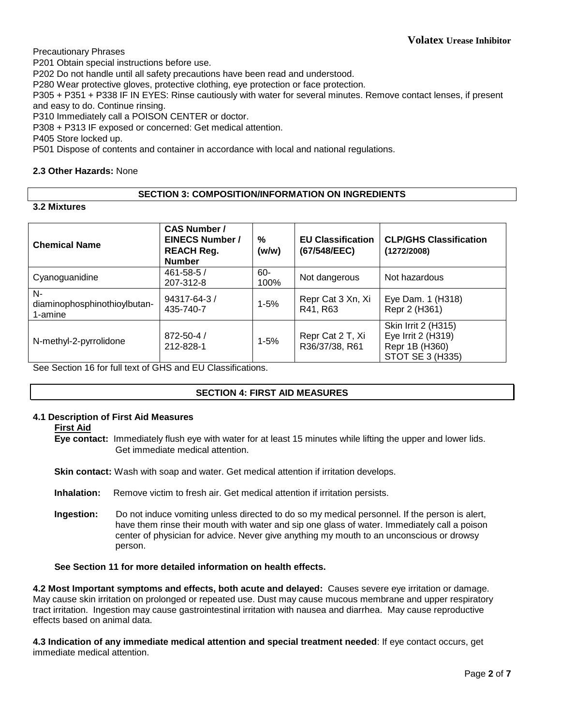Precautionary Phrases

P201 Obtain special instructions before use.

P202 Do not handle until all safety precautions have been read and understood.

P280 Wear protective gloves, protective clothing, eye protection or face protection.

P305 + P351 + P338 IF IN EYES: Rinse cautiously with water for several minutes. Remove contact lenses, if present and easy to do. Continue rinsing.

P310 Immediately call a POISON CENTER or doctor.

P308 + P313 IF exposed or concerned: Get medical attention.

P405 Store locked up.

P501 Dispose of contents and container in accordance with local and national regulations.

## **2.3 Other Hazards:** None

## **SECTION 3: COMPOSITION/INFORMATION ON INGREDIENTS**

**3.2 Mixtures**

| <b>Chemical Name</b>                          | <b>CAS Number /</b><br><b>EINECS Number /</b><br><b>REACH Reg.</b><br><b>Number</b> | $\%$<br>(w/w)  | <b>EU Classification</b><br>(67/548/EEC) | <b>CLP/GHS Classification</b><br>(1272/2008)                                    |  |
|-----------------------------------------------|-------------------------------------------------------------------------------------|----------------|------------------------------------------|---------------------------------------------------------------------------------|--|
| Cyanoguanidine                                | $461 - 58 - 5/$<br>207-312-8                                                        | $60 -$<br>100% | Not dangerous                            | Not hazardous                                                                   |  |
| N-<br>diaminophosphinothioylbutan-<br>1-amine | $94317 - 64 - 3/$<br>435-740-7                                                      | $1 - 5%$       | Repr Cat 3 Xn, Xi<br>R41, R63            | Eye Dam. 1 (H318)<br>Repr 2 (H361)                                              |  |
| N-methyl-2-pyrrolidone                        | 872-50-4 /<br>212-828-1                                                             | $1 - 5%$       | Repr Cat 2 T, Xi<br>R36/37/38, R61       | Skin Irrit 2 (H315)<br>Eye Irrit 2 (H319)<br>Repr 1B (H360)<br>STOT SE 3 (H335) |  |

See Section 16 for full text of GHS and EU Classifications.

## **SECTION 4: FIRST AID MEASURES**

## **4.1 Description of First Aid Measures**

**First Aid**

**Eye contact:** Immediately flush eye with water for at least 15 minutes while lifting the upper and lower lids. Get immediate medical attention.

**Skin contact:** Wash with soap and water. Get medical attention if irritation develops.

**Inhalation:** Remove victim to fresh air. Get medical attention if irritation persists.

**Ingestion:** Do not induce vomiting unless directed to do so my medical personnel. If the person is alert, have them rinse their mouth with water and sip one glass of water. Immediately call a poison center of physician for advice. Never give anything my mouth to an unconscious or drowsy person.

## **See Section 11 for more detailed information on health effects.**

**4.2 Most Important symptoms and effects, both acute and delayed:** Causes severe eye irritation or damage. May cause skin irritation on prolonged or repeated use. Dust may cause mucous membrane and upper respiratory tract irritation. Ingestion may cause gastrointestinal irritation with nausea and diarrhea. May cause reproductive effects based on animal data.

**4.3 Indication of any immediate medical attention and special treatment needed**: If eye contact occurs, get immediate medical attention.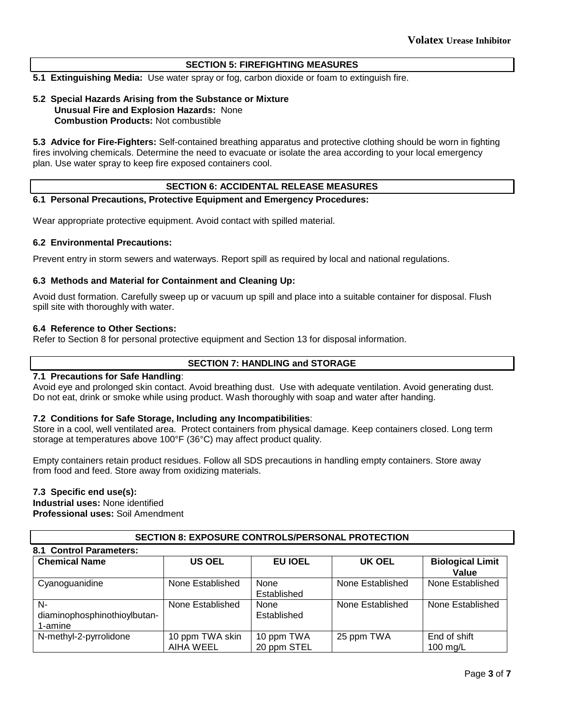## **SECTION 5: FIREFIGHTING MEASURES**

**5.1 Extinguishing Media:** Use water spray or fog, carbon dioxide or foam to extinguish fire.

## **5.2 Special Hazards Arising from the Substance or Mixture Unusual Fire and Explosion Hazards:** None **Combustion Products:** Not combustible

**5.3 Advice for Fire-Fighters:** Self-contained breathing apparatus and protective clothing should be worn in fighting fires involving chemicals. Determine the need to evacuate or isolate the area according to your local emergency plan. Use water spray to keep fire exposed containers cool.

## **SECTION 6: ACCIDENTAL RELEASE MEASURES**

## **6.1 Personal Precautions, Protective Equipment and Emergency Procedures:**

Wear appropriate protective equipment. Avoid contact with spilled material.

## **6.2 Environmental Precautions:**

Prevent entry in storm sewers and waterways. Report spill as required by local and national regulations.

## **6.3 Methods and Material for Containment and Cleaning Up:**

Avoid dust formation. Carefully sweep up or vacuum up spill and place into a suitable container for disposal. Flush spill site with thoroughly with water.

#### **6.4 Reference to Other Sections:**

Refer to Section 8 for personal protective equipment and Section 13 for disposal information.

## **SECTION 7: HANDLING and STORAGE**

## **7.1 Precautions for Safe Handling**:

Avoid eye and prolonged skin contact. Avoid breathing dust. Use with adequate ventilation. Avoid generating dust. Do not eat, drink or smoke while using product. Wash thoroughly with soap and water after handing.

## **7.2 Conditions for Safe Storage, Including any Incompatibilities**:

Store in a cool, well ventilated area. Protect containers from physical damage. Keep containers closed. Long term storage at temperatures above 100°F (36°C) may affect product quality.

Empty containers retain product residues. Follow all SDS precautions in handling empty containers. Store away from food and feed. Store away from oxidizing materials.

## **7.3 Specific end use(s):**

**Industrial uses:** None identified

**Professional uses:** Soil Amendment

## **SECTION 8: EXPOSURE CONTROLS/PERSONAL PROTECTION**

#### **8.1 Control Parameters: Chemical Name US OEL EU IOEL UK OEL Biological Limit Value** Cyanoguanidine | None Established | None Established None Established | None Established Ndiaminophosphinothioylbutan-1-amine None Established | None Established None Established | None Established N-methyl-2-pyrrolidone | 10 ppm TWA skin AIHA WEEL 10 ppm TWA 20 ppm STEL 25 ppm TWA End of shift 100 mg/L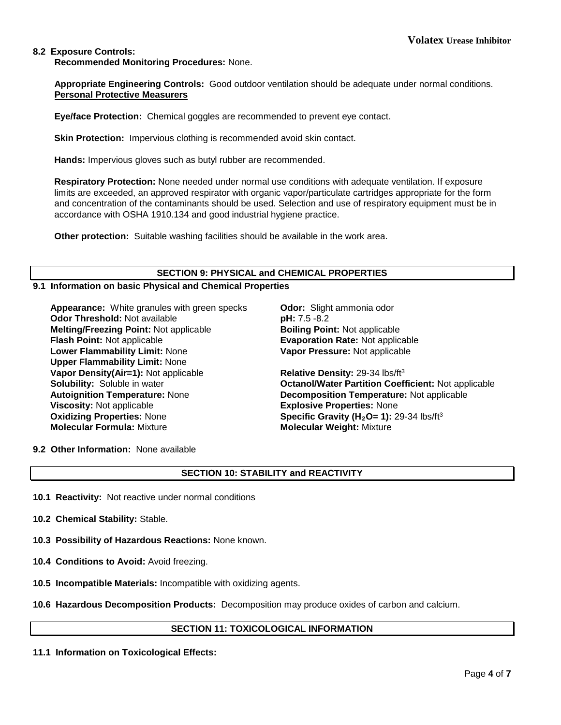## **8.2 Exposure Controls:**

**Recommended Monitoring Procedures:** None.

**Appropriate Engineering Controls:** Good outdoor ventilation should be adequate under normal conditions. **Personal Protective Measurers**

**Eye/face Protection:** Chemical goggles are recommended to prevent eye contact.

**Skin Protection:** Impervious clothing is recommended avoid skin contact.

**Hands:** Impervious gloves such as butyl rubber are recommended.

**Respiratory Protection:** None needed under normal use conditions with adequate ventilation. If exposure limits are exceeded, an approved respirator with organic vapor/particulate cartridges appropriate for the form and concentration of the contaminants should be used. Selection and use of respiratory equipment must be in accordance with OSHA 1910.134 and good industrial hygiene practice.

**Other protection:** Suitable washing facilities should be available in the work area.

## **SECTION 9: PHYSICAL and CHEMICAL PROPERTIES**

#### **9.1 Information on basic Physical and Chemical Properties**

**Appearance:** White granules with green specks **Odor:** Slight ammonia odor **Odor Threshold:** Not available **pH:** 7.5 -8.2 **Melting/Freezing Point:** Not applicable **Boiling Point:** Not applicable **Flash Point:** Not applicable **Evaporation Rate:** Not applicable **Lower Flammability Limit:** None **Upper Flammability Limit:** None **Vapor Density(Air=1):** Not applicable **Relative Density:** 29-34 lbs/ft<sup>3</sup> **Autoignition Temperature:** None **Decomposition Temperature:** Not applicable **Viscosity:** Not applicable **Explosive Properties:** None<br> **Oxidizing Properties:** None **Explosive Constants Constants (A**<sub>2</sub>O= 1): 2 **Molecular Formula:** Mixture **Molecular Weight:** Mixture

**Vapor Pressure:** Not applicable

**Solubility:** Soluble in water **Octanol/Water Partition Coefficient:** Not applicable **Specific Gravity (H<sub>2</sub>O= 1):** 29-34 lbs/ft<sup>3</sup>

**9.2 Other Information:** None available

## **SECTION 10: STABILITY and REACTIVITY**

- **10.1 Reactivity:** Not reactive under normal conditions
- **10.2 Chemical Stability:** Stable.
- **10.3 Possibility of Hazardous Reactions:** None known.
- **10.4 Conditions to Avoid:** Avoid freezing.
- **10.5 Incompatible Materials:** Incompatible with oxidizing agents.
- **10.6 Hazardous Decomposition Products:** Decomposition may produce oxides of carbon and calcium.

## **SECTION 11: TOXICOLOGICAL INFORMATION**

**11.1 Information on Toxicological Effects:**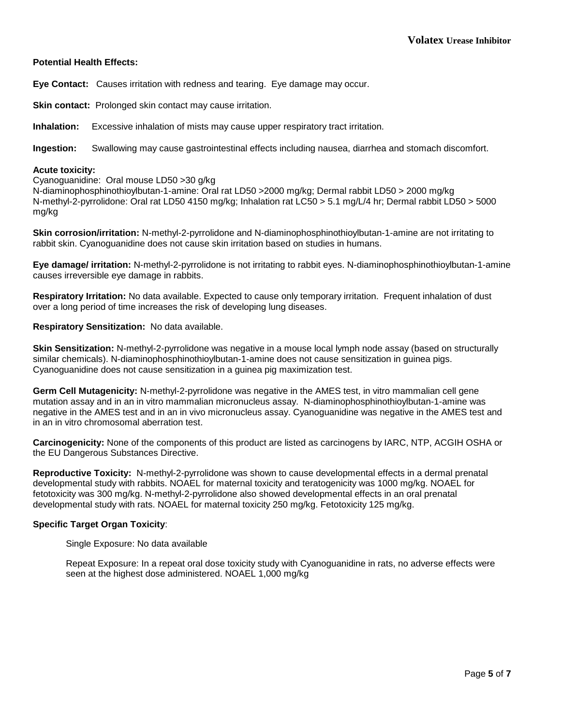## **Potential Health Effects:**

**Eye Contact:** Causes irritation with redness and tearing. Eye damage may occur.

**Skin contact:** Prolonged skin contact may cause irritation.

**Inhalation:** Excessive inhalation of mists may cause upper respiratory tract irritation.

**Ingestion:** Swallowing may cause gastrointestinal effects including nausea, diarrhea and stomach discomfort.

#### **Acute toxicity:**

Cyanoguanidine: Oral mouse LD50 >30 g/kg

N-diaminophosphinothioylbutan-1-amine: Oral rat LD50 >2000 mg/kg; Dermal rabbit LD50 > 2000 mg/kg N-methyl-2-pyrrolidone: Oral rat LD50 4150 mg/kg; Inhalation rat LC50 > 5.1 mg/L/4 hr; Dermal rabbit LD50 > 5000 mg/kg

**Skin corrosion/irritation:** N-methyl-2-pyrrolidone and N-diaminophosphinothioylbutan-1-amine are not irritating to rabbit skin. Cyanoguanidine does not cause skin irritation based on studies in humans.

**Eye damage/ irritation:** N-methyl-2-pyrrolidone is not irritating to rabbit eyes. N-diaminophosphinothioylbutan-1-amine causes irreversible eye damage in rabbits.

**Respiratory Irritation:** No data available. Expected to cause only temporary irritation. Frequent inhalation of dust over a long period of time increases the risk of developing lung diseases.

#### **Respiratory Sensitization:** No data available.

**Skin Sensitization:** N-methyl-2-pyrrolidone was negative in a mouse local lymph node assay (based on structurally similar chemicals). N-diaminophosphinothioylbutan-1-amine does not cause sensitization in guinea pigs. Cyanoguanidine does not cause sensitization in a guinea pig maximization test.

**Germ Cell Mutagenicity:** N-methyl-2-pyrrolidone was negative in the AMES test, in vitro mammalian cell gene mutation assay and in an in vitro mammalian micronucleus assay. N-diaminophosphinothioylbutan-1-amine was negative in the AMES test and in an in vivo micronucleus assay. Cyanoguanidine was negative in the AMES test and in an in vitro chromosomal aberration test.

**Carcinogenicity:** None of the components of this product are listed as carcinogens by IARC, NTP, ACGIH OSHA or the EU Dangerous Substances Directive.

**Reproductive Toxicity:** N-methyl-2-pyrrolidone was shown to cause developmental effects in a dermal prenatal developmental study with rabbits. NOAEL for maternal toxicity and teratogenicity was 1000 mg/kg. NOAEL for fetotoxicity was 300 mg/kg. N-methyl-2-pyrrolidone also showed developmental effects in an oral prenatal developmental study with rats. NOAEL for maternal toxicity 250 mg/kg. Fetotoxicity 125 mg/kg.

## **Specific Target Organ Toxicity**:

Single Exposure: No data available

Repeat Exposure: In a repeat oral dose toxicity study with Cyanoguanidine in rats, no adverse effects were seen at the highest dose administered. NOAEL 1,000 mg/kg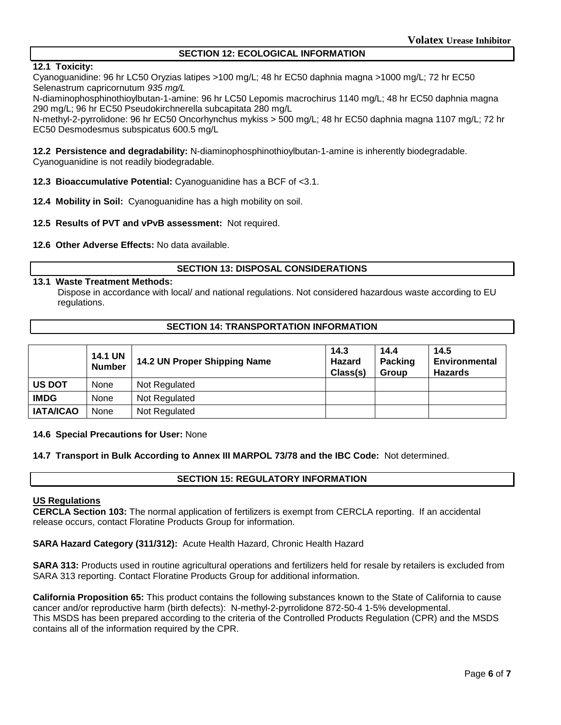## **SECTION 12: ECOLOGICAL INFORMATION**

## **12.1 Toxicity:**

Cyanoguanidine: 96 hr LC50 Oryzias latipes >100 mg/L; 48 hr EC50 daphnia magna >1000 mg/L; 72 hr EC50 Selenastrum capricornutum *935 mg/L*

N-diaminophosphinothioylbutan-1-amine: 96 hr LC50 Lepomis macrochirus 1140 mg/L; 48 hr EC50 daphnia magna 290 mg/L; 96 hr EC50 Pseudokirchnerella subcapitata 280 mg/L

N-methyl-2-pyrrolidone: 96 hr EC50 Oncorhynchus mykiss > 500 mg/L; 48 hr EC50 daphnia magna 1107 mg/L; 72 hr EC50 Desmodesmus subspicatus 600.5 mg/L

**12.2 Persistence and degradability:** N-diaminophosphinothioylbutan-1-amine is inherently biodegradable. Cyanoguanidine is not readily biodegradable.

- **12.3 Bioaccumulative Potential:** Cyanoguanidine has a BCF of <3.1.
- **12.4 Mobility in Soil:** Cyanoguanidine has a high mobility on soil.
- **12.5 Results of PVT and vPvB assessment:** Not required.
- **12.6 Other Adverse Effects:** No data available.

#### **SECTION 13: DISPOSAL CONSIDERATIONS**

#### **13.1 Waste Treatment Methods:**

Dispose in accordance with local/ and national regulations. Not considered hazardous waste according to EU regulations.

#### **SECTION 14: TRANSPORTATION INFORMATION**

|                  | <b>14.1 UN</b><br><b>Number</b> | 14.2 UN Proper Shipping Name | 14.3<br>Hazard<br>Class(s) | 14.4<br><b>Packing</b><br><b>Group</b> | 14.5<br><b>Environmental</b><br>Hazards |
|------------------|---------------------------------|------------------------------|----------------------------|----------------------------------------|-----------------------------------------|
| <b>US DOT</b>    | None                            | Not Regulated                |                            |                                        |                                         |
| <b>IMDG</b>      | <b>None</b>                     | Not Regulated                |                            |                                        |                                         |
| <b>IATA/ICAO</b> | None                            | Not Regulated                |                            |                                        |                                         |

#### **14.6 Special Precautions for User:** None

#### **14.7 Transport in Bulk According to Annex III MARPOL 73/78 and the IBC Code:** Not determined.

## **SECTION 15: REGULATORY INFORMATION**

## **US Regulations**

**CERCLA Section 103:** The normal application of fertilizers is exempt from CERCLA reporting. If an accidental release occurs, contact Floratine Products Group for information.

**SARA Hazard Category (311/312):** Acute Health Hazard, Chronic Health Hazard

**SARA 313:** Products used in routine agricultural operations and fertilizers held for resale by retailers is excluded from SARA 313 reporting. Contact Floratine Products Group for additional information.

**California Proposition 65:** This product contains the following substances known to the State of California to cause cancer and/or reproductive harm (birth defects): N-methyl-2-pyrrolidone 872-50-4 1-5% developmental. This MSDS has been prepared according to the criteria of the Controlled Products Regulation (CPR) and the MSDS contains all of the information required by the CPR.